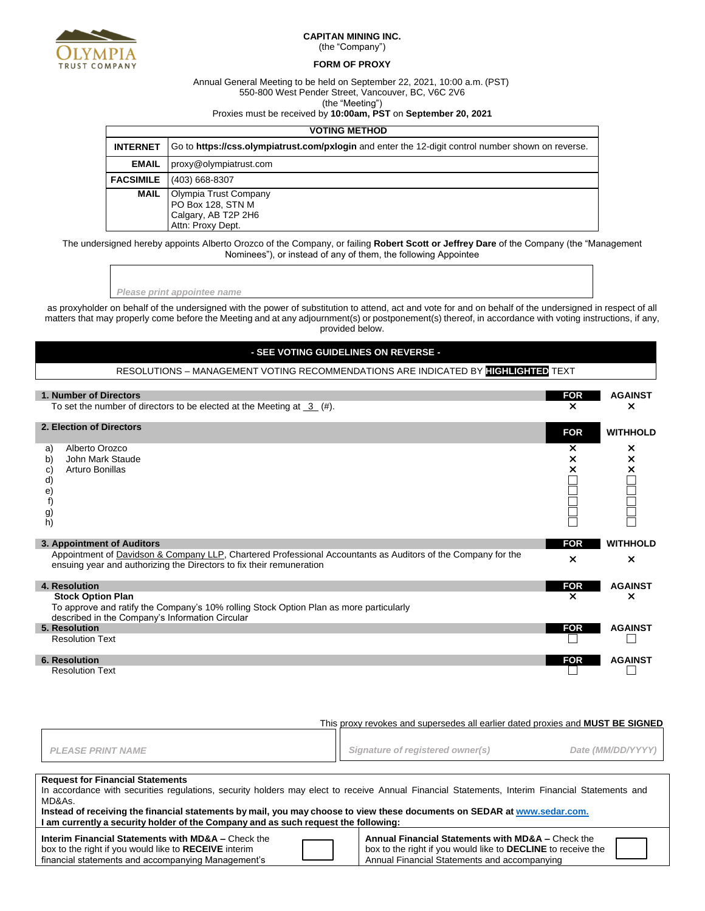

I

I

## **CAPITAN MINING INC.**

(the "Company")

### **FORM OF PROXY**

Annual General Meeting to be held on September 22, 2021, 10:00 a.m. (PST)

550-800 West Pender Street, Vancouver, BC, V6C 2V6

(the "Meeting")

# Proxies must be received by **10:00am, PST** on **September 20, 2021**

| <b>VOTING METHOD</b> |                                                                                                    |  |
|----------------------|----------------------------------------------------------------------------------------------------|--|
| <b>INTERNET</b>      | Go to https://css.olympiatrust.com/pxlogin and enter the 12-digit control number shown on reverse. |  |
| <b>EMAIL</b>         | proxy@olympiatrust.com                                                                             |  |
| <b>FACSIMILE</b>     | (403) 668-8307                                                                                     |  |
| <b>MAIL</b>          | <b>Olympia Trust Company</b><br>PO Box 128, STN M<br>Calgary, AB T2P 2H6<br>Attn: Proxy Dept.      |  |
|                      |                                                                                                    |  |

The undersigned hereby appoints Alberto Orozco of the Company, or failing **Robert Scott or Jeffrey Dare** of the Company (the "Management Nominees"), or instead of any of them, the following Appointee

#### *Please print appointee name*

as proxyholder on behalf of the undersigned with the power of substitution to attend, act and vote for and on behalf of the undersigned in respect of all matters that may properly come before the Meeting and at any adjournment(s) or postponement(s) thereof, in accordance with voting instructions, if any, provided below.

| - SEE VOTING GUIDELINES ON REVERSE -                                                                                                                                                                               |                                         |                                              |  |
|--------------------------------------------------------------------------------------------------------------------------------------------------------------------------------------------------------------------|-----------------------------------------|----------------------------------------------|--|
| RESOLUTIONS - MANAGEMENT VOTING RECOMMENDATIONS ARE INDICATED BY <b>HIGHLIGHTED</b> TEXT                                                                                                                           |                                         |                                              |  |
| 1. Number of Directors<br>To set the number of directors to be elected at the Meeting at $3$ (#).                                                                                                                  | <b>FOR</b><br>$\boldsymbol{\mathsf{x}}$ | <b>AGAINST</b><br>$\times$                   |  |
| 2. Election of Directors                                                                                                                                                                                           | <b>FOR</b>                              | <b>WITHHOLD</b>                              |  |
| Alberto Orozco<br>a)<br>John Mark Staude<br>b)<br>Arturo Bonillas<br>C)<br>d)<br>e)<br>f)<br>g)<br>h)                                                                                                              | $\boldsymbol{\mathsf{x}}$<br>×<br>×     | ×<br>$\boldsymbol{\mathsf{x}}$<br>×          |  |
| 3. Appointment of Auditors<br>Appointment of Davidson & Company LLP, Chartered Professional Accountants as Auditors of the Company for the<br>ensuing year and authorizing the Directors to fix their remuneration | <b>FOR</b><br>×                         | <b>WITHHOLD</b><br>$\boldsymbol{\mathsf{x}}$ |  |
| 4. Resolution<br><b>Stock Option Plan</b><br>To approve and ratify the Company's 10% rolling Stock Option Plan as more particularly<br>described in the Company's Information Circular                             | <b>FOR</b><br>$\boldsymbol{\mathsf{x}}$ | <b>AGAINST</b><br>×                          |  |
| 5. Resolution<br><b>Resolution Text</b>                                                                                                                                                                            | <b>FOR</b>                              | <b>AGAINST</b>                               |  |
| <b>6. Resolution</b><br><b>Resolution Text</b>                                                                                                                                                                     | <b>FOR</b>                              | <b>AGAINST</b>                               |  |

|                                                                                                                                                                                                                                                                                                                                                                                                                       | This proxy revokes and supersedes all earlier dated proxies and <b>MUST BE SIGNED</b>                                                                                    |  |  |  |  |
|-----------------------------------------------------------------------------------------------------------------------------------------------------------------------------------------------------------------------------------------------------------------------------------------------------------------------------------------------------------------------------------------------------------------------|--------------------------------------------------------------------------------------------------------------------------------------------------------------------------|--|--|--|--|
| <b>PLEASE PRINT NAME</b>                                                                                                                                                                                                                                                                                                                                                                                              | Signature of registered owner(s)<br>Date (MM/DD/YYYY)                                                                                                                    |  |  |  |  |
| <b>Request for Financial Statements</b><br>In accordance with securities regulations, security holders may elect to receive Annual Financial Statements, Interim Financial Statements and<br>MD&As.<br>Instead of receiving the financial statements by mail, you may choose to view these documents on SEDAR at www.sedar.com.<br>I am currently a security holder of the Company and as such request the following: |                                                                                                                                                                          |  |  |  |  |
| <b>Interim Financial Statements with MD&amp;A - Check the</b><br>box to the right if you would like to <b>RECEIVE</b> interim<br>financial statements and accompanying Management's                                                                                                                                                                                                                                   | Annual Financial Statements with MD&A - Check the<br>box to the right if you would like to <b>DECLINE</b> to receive the<br>Annual Financial Statements and accompanying |  |  |  |  |